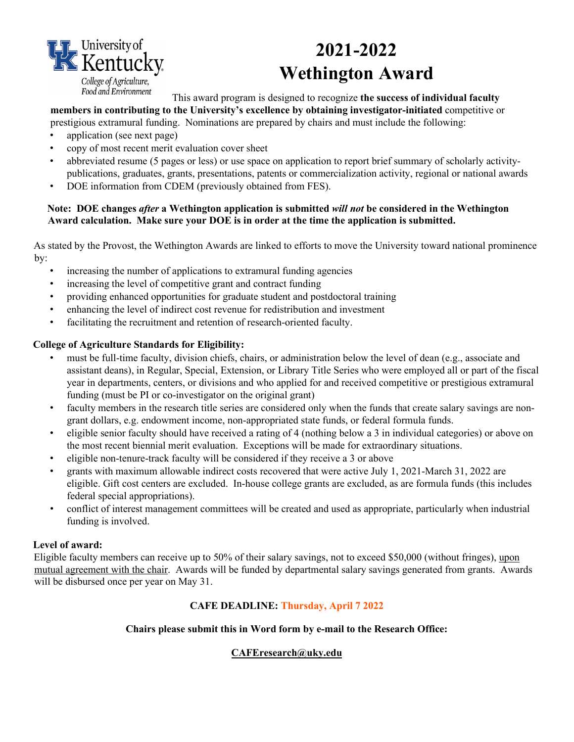

# **2021-2022 Wethington Award**

This award program is designed to recognize **the success of individual faculty** 

**members in contributing to the University's excellence by obtaining investigator-initiated** competitive or prestigious extramural funding. Nominations are prepared by chairs and must include the following:

- application (see next page)
- copy of most recent merit evaluation cover sheet
- abbreviated resume (5 pages or less) or use space on application to report brief summary of scholarly activitypublications, graduates, grants, presentations, patents or commercialization activity, regional or national awards
- DOE information from CDEM (previously obtained from FES).

#### **Note: DOE changes** *after* **a Wethington application is submitted** *will not* **be considered in the Wethington Award calculation. Make sure your DOE is in order at the time the application is submitted.**

As stated by the Provost, the Wethington Awards are linked to efforts to move the University toward national prominence by:

- increasing the number of applications to extramural funding agencies
- increasing the level of competitive grant and contract funding
- providing enhanced opportunities for graduate student and postdoctoral training
- enhancing the level of indirect cost revenue for redistribution and investment
- facilitating the recruitment and retention of research-oriented faculty.

### **College of Agriculture Standards for Eligibility:**

- must be full-time faculty, division chiefs, chairs, or administration below the level of dean (e.g., associate and assistant deans), in Regular, Special, Extension, or Library Title Series who were employed all or part of the fiscal year in departments, centers, or divisions and who applied for and received competitive or prestigious extramural funding (must be PI or co-investigator on the original grant)
- faculty members in the research title series are considered only when the funds that create salary savings are nongrant dollars, e.g. endowment income, non-appropriated state funds, or federal formula funds.
- eligible senior faculty should have received a rating of 4 (nothing below a 3 in individual categories) or above on the most recent biennial merit evaluation. Exceptions will be made for extraordinary situations.
- eligible non-tenure-track faculty will be considered if they receive a 3 or above
- grants with maximum allowable indirect costs recovered that were active July 1, 2021-March 31, 2022 are eligible. Gift cost centers are excluded. In-house college grants are excluded, as are formula funds (this includes federal special appropriations).
- conflict of interest management committees will be created and used as appropriate, particularly when industrial funding is involved.

#### **Level of award:**

Eligible faculty members can receive up to 50% of their salary savings, not to exceed \$50,000 (without fringes), upon mutual agreement with the chair. Awards will be funded by departmental salary savings generated from grants. Awards will be disbursed once per year on May 31.

# **CAFE DEADLINE: Thursday, April 7 2022**

# **Chairs please submit this in Word form by e-mail to the Research Office:**

# **CAFEresearch@uky.edu**